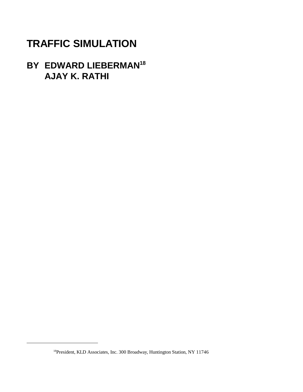# **TRAFFIC SIMULATION**

# **BY EDWARD LIEBERMAN18 AJAY K. RATHI**

<sup>&</sup>lt;sup>18</sup> President, KLD Associates, Inc. 300 Broadway, Huntington Station, NY 11746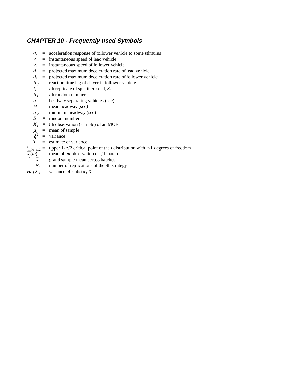### **CHAPTER 10 - Frequently used Symbols**

- $a_f$  = acceleration response of follower vehicle to some stimulus
- $v =$  instantaneous speed of lead vehicle
- $v_f$  = instantaneous speed of follower vehicle  $d$  = projected maximum deceleration rate of
- = projected maximum deceleration rate of lead vehicle
- $d_e$  = projected maximum deceleration rate of follower vehicle
- $\overrightarrow{R}_f$  = reaction time lag of driver in follower vehicle  $I_i$  = *i*th replicate of specified seed,  $S_0$
- *i*th replicate of specified seed,  $S_a$
- $R_I$  = *i*th random number<br>*h* = headway separating
- *h =* headway separating vehicles (sec)
- $H =$  mean headway (sec)
- $h_{\text{min}} = \text{minimum headway (sec)}$
- *R =* random number
- $X_I$  = *i*th observation (sample) of an MOE
- $\mu_x$  = mean of sample
- $\delta^{\hat{2}}$ = variance
- $\frac{8}{6}$ = estimate of variance
- $t_{\underline{n}, p_1, \alpha/2}$  = upper 1- $\alpha/2$  critical point of the *t* distribution with *n*-1 degrees of freedom
- $\overline{x_j}(m)$  = mean of *m* observation of *j*th batch
	- $\overline{x}$  = grand sample mean across batches
	- $N_i$  = number of replications of the *i*th strategy
- $var(X) = \text{variance of statistic, } X$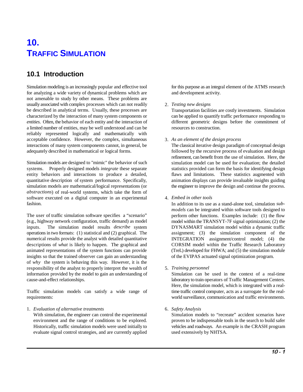# **10. TRAFFIC SIMULATION**

### **10.1 Introduction**

Simulation modeling is an increasingly popular and effective tool for this purpose as an integral element of the ATMS research for analyzing a wide variety of dynamical problems which are and development activity. not amenable to study by other means. These problems are usually associated with complex processes which can not readily be described in analytical terms. Usually, these processes are characterized by the interaction of many system components or *entities*. Often, the behavior of each entity and the interaction of different geometric designs before the commitment of a limited number of entities, may be well understood and can be resources to construction. reliably represented logically and mathematically with acceptable confidence. However, the complex, simultaneous interactions of many system components cannot, in general, be adequately described in mathematical or logical forms.

Simulation models are designed to "mimic" the behavior of such systems. Properly designed models *integrate* these separate statistics provided can form the basis for identifying design entity behaviors and interactions to produce a detailed, flaws and limitations. These statistics augmented with quantitative description of system performance. Specifically, animation displays can provide invaluable insights guiding simulation models are mathematical/logical representations (or the engineer to improve the design and continue the process. *abstractions*) of real-world systems, which take the form of software executed on a digital computer in an experimental 4. *Embed in other tools* fashion.

The user of traffic simulation software specifies a "scenario" (e.g., highway network configuration, traffic demand) as model inputs. The simulation model results *describe* system operations in two formats: (1) statistical and (2) graphical. The numerical results provide the analyst with detailed quantitative descriptions of *what* is likely to happen. The graphical and CORSIM model within the Traffic Research Laboratory animated representations of the system functions can provide (TreL) developed for FHWA; and (5) the simulation module insights so that the trained observer can gain an understanding of the EVIPAS actuated signal optimization program. of *why* the system is behaving this way. However, it is the responsibility of the analyst to properly interpret the wealth of 5. *Training personnel* information provided by the model to gain an understanding of Simulation can be used in the context of a real-time cause-and-effect relationships. laboratory to train operators of Traffic Management Centers.

Traffic simulation models can satisfy a wide range of time traffic control computer, acts as a surrogate for the realrequirements: world surveillance, communication and traffic environments.

1. *Evaluation of alternative treatments* 6. *Safety Analysis*

With simulation, the engineer can control the experimental Simulation models to "recreate" accident scenarios have environment and the range of conditions to be explored. proven to be indispensable tools in the search to build safer Historically, traffic simulation models were used initially to vehicles and roadways. An example is the CRASH program evaluate signal control strategies, and are currently applied used extensively by NHTSA.

#### 2. *Testing new designs*

Transportation facilities are costly investments. Simulation can be applied to quantify traffic performance responding to

3. *As an element of the design process*

The classical iterative design paradigm of conceptual design followed by the recursive process of evaluation and design refinement, can benefit from the use of simulation. Here, the simulation model can be used for evaluation; the detailed

In addition to its use as a stand-alone tool, simulation *submodels* can be integrated within software tools designed to perform other functions. Examples include: (1) the flow model within the TRANSYT-7F signal optimization; (2) the DYNASMART simulation model within a dynamic traffic assignment; (3) the simulation component of the INTEGRATION assignment/control model; (4) the

Here, the simulation model, which is integrated with a real-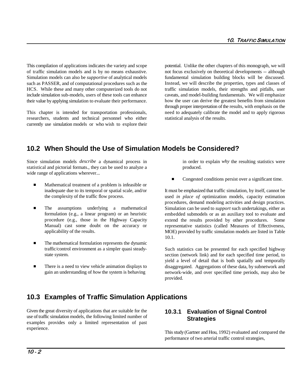This compilation of applications indicates the variety and scope potential. Unlike the other chapters of this monograph, we will of traffic simulation models and is by no means exhaustive. not focus exclusively on theoretical developments -- although Simulation models can also be *supportive* of analytical models such as PASSER, and of computational procedures such as the HCS. While these and many other computerized tools do not include simulation sub-models, users of these tools can enhance their value by applying simulation to evaluate their performance.

This chapter is intended for transportation professionals, researchers, students and technical personnel who either currently use simulation models or who wish to explore their fundamental simulation building blocks will be discussed. Instead, we will describe the properties, types and classes of traffic simulation models, their strengths and pitfalls, user caveats, and model-building fundamentals. We will emphasize how the user can derive the greatest benefits from simulation through proper interpretation of the results, with emphasis on the need to adequately calibrate the model and to apply rigorous statistical analysis of the results.

### **10.2 When Should the Use of Simulation Models be Considered?**

Since simulation models *describe* a dynamical process in in order to explain *why* the resulting statistics were statistical and pictorial formats., they can be used to analyze a produced. wide range of applications wherever...

- $\blacksquare$  Mathematical treatment of a problem is infeasible or the complexity of the traffic flow process.
- Ē The assumptions underlying a mathematical formulation (e.g., a linear program) or an heuristic procedure (e.g., those in the Highway Capacity Manual) cast some doubt on the accuracy or applicability of the results.
- п The mathematical formulation represents the dynamic traffic/control environment as a simpler quasi steadystate system.
- $\blacksquare$  There is a need to view vehicle animation displays to gain an understanding of *how* the system is behaving

n Congested conditions persist over a significant time.

inadequate due to its temporal or spatial scale, and/or It must be emphasized that traffic simulation, by itself, cannot be used *in place of* optimization models, capacity estimation procedures, demand modeling activities and design practices. Simulation can be used to *support* such undertakings, either as embedded submodels or as an auxiliary tool to evaluate and extend the results provided by other procedures. Some representative statistics (called Measures of Effectiveness, MOE) provided by traffic simulation models are listed in Table 10.1.

> Such statistics can be presented for each specified highway section (network link) and for each specified time period, to yield a level of detail that is both spatially and temporally disaggregated. Aggregations of these data, by subnetwork and network-wide, and over specified time periods, may also be provided.

### **10.3 Examples of Traffic Simulation Applications**

Given the great diversity of applications that are suitable for the use of traffic simulation models, the following limited number of examples provides only a limited representation of past experience.

### **10.3.1 Evaluation of Signal Control Strategies**

This study (Gartner and Hou, 1992) evaluated and compared the performance of two arterial traffic control strategies,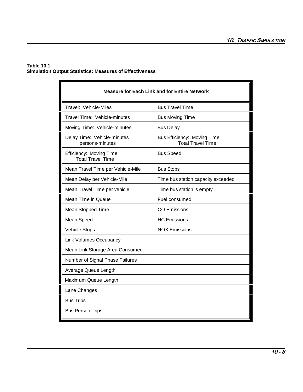#### **Table 10.1 Simulation Output Statistics: Measures of Effectiveness**

| <b>Measure for Each Link and for Entire Network</b> |                                                         |  |  |
|-----------------------------------------------------|---------------------------------------------------------|--|--|
| Travel: Vehicle-Miles                               | <b>Bus Travel Time</b>                                  |  |  |
| Travel Time: Vehicle-minutes                        | <b>Bus Moving Time</b>                                  |  |  |
| Moving Time: Vehicle-minutes                        | <b>Bus Delay</b>                                        |  |  |
| Delay Time: Vehicle-minutes<br>persons-minutes      | Bus Efficiency: Moving Time<br><b>Total Travel Time</b> |  |  |
| Efficiency: Moving Time<br><b>Total Travel Time</b> | <b>Bus Speed</b>                                        |  |  |
| Mean Travel Time per Vehicle-Mile                   | <b>Bus Stops</b>                                        |  |  |
| Mean Delay per Vehicle-Mile                         | Time bus station capacity exceeded                      |  |  |
| Mean Travel Time per vehicle                        | Time bus station is empty                               |  |  |
| Mean Time in Queue                                  | Fuel consumed                                           |  |  |
| Mean Stopped Time                                   | <b>CO Emissions</b>                                     |  |  |
| Mean Speed                                          | <b>HC</b> Emissions                                     |  |  |
| <b>Vehicle Stops</b>                                | <b>NOX Emissions</b>                                    |  |  |
| <b>Link Volumes Occupancy</b>                       |                                                         |  |  |
| Mean Link Storage Area Consumed                     |                                                         |  |  |
| Number of Signal Phase Failures                     |                                                         |  |  |
| Average Queue Length                                |                                                         |  |  |
| Maximum Queue Length                                |                                                         |  |  |
| Lane Changes                                        |                                                         |  |  |
| <b>Bus Trips</b>                                    |                                                         |  |  |
| <b>Bus Person Trips</b>                             |                                                         |  |  |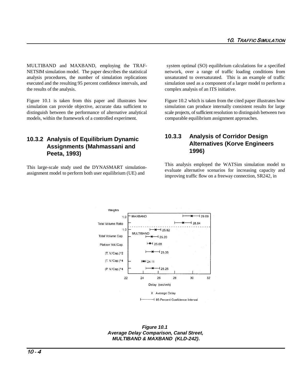MULTIBAND and MAXBAND, employing the TRAF- system optimal (SO) equilibrium calculations for a specified NETSIM simulation model. The paper describes the statistical network, over a range of traffic loading conditions from analysis procedures, the number of simulation replications unsaturated to oversaturated. This is an example of traffic executed and the resulting 95 percent confidence intervals, and simulation used as a component of a larger model to perform a the results of the analysis. complex analysis of an ITS initiative.

Figure 10.1 is taken from this paper and illustrates how Figure 10.2 which is taken from the cited paper illustrates how simulation can provide objective, accurate data sufficient to simulation can produce internally consistent results for large distinguish between the performance of alternative analytical scale projects, of sufficient resolution to distinguish between two models, within the framework of a controlled experiment. comparable equilibrium assignment approaches.

### **10.3.2 Analysis of Equilibrium Dynamic Assignments (Mahmassani and Peeta, 1993)**

This large-scale study used the DYNASMART simulationassignment model to perform both user equilibrium (UE) and

### **10.3.3 Analysis of Corridor Design Alternatives (Korve Engineers 1996)**

This analysis employed the WATSim simulation model to evaluate alternative scenarios for increasing capacity and improving traffic flow on a freeway connection, SR242, in



**Figure 10.1 Average Delay Comparison, Canal Street, MULTIBAND & MAXBAND (KLD-242).**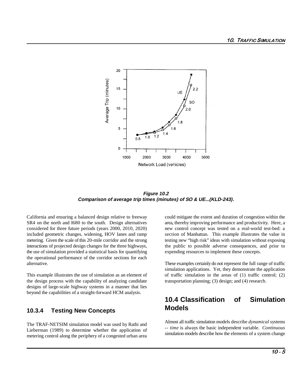

**Figure 10.2 Comparison of average trip times (minutes) of SO & UE...(KLD-243).**

SR4 on the north and I680 to the south. Design alternatives area, thereby improving performance and productivity. Here, a considered for three future periods (years 2000, 2010, 2020) new control concept was tested on a real-world test-bed: a included geometric changes, widening, HOV lanes and ramp section of Manhattan. This example illustrates the value in metering. Given the scale of this 20-mile corridor and the strong testing new "high risk" ideas with simulation without exposing interactions of projected design changes for the three highways, the public to possible adverse consequences, and prior to the use of simulation provided a statistical basis for quantifying expending resources to implement these concepts. the operational performance of the corridor sections for each alternative. These examples certainly do not represent the full range of traffic

the design process with the capability of analyzing candidate transportation planning; (3) design; and (4) research. designs of large-scale highway systems in a manner that lies beyond the capabilities of a straight-forward HCM analysis.

#### **10.3.4 Testing New Concepts**

The TRAF-NETSIM simulation model was used by Rathi and Lieberman (1989) to determine whether the application of metering control along the periphery of a congested urban area

California and ensuring a balanced design relative to freeway could mitigate the extent and duration of congestion within the

This example illustrates the use of simulation as an element of of traffic simulation in the areas of (1) traffic control; (2) simulation applications. Yet, they demonstrate the application

### **10.4 Classification of Simulation Models**

Almost all traffic simulation models describe *dynamical* systems -- *time* is always the basic independent variable. *Continuous* simulation models describe how the elements of a system change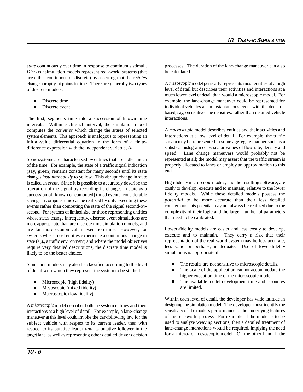*state* continuously over time in response to continuous stimuli. *Discrete* simulation models represent real-world systems (that are either continuous or discrete) by asserting that their *states* change abruptly at points in time. There are generally two types of discrete models:

- $\blacksquare$ Discrete time
- $\blacksquare$ Discrete event

The first, segments time into a succession of known time intervals. Within each such interval, the simulation model computes the *activities* which change the *states* of selected system elements. This approach is analogous to representing an initial-value differential equation in the form of a finitedifference expression with the independent variable,  $\Delta t$ .

Some systems are characterized by entities that are "idle" much of the time. For example, the state of a traffic signal indication (say, green) remains constant for many seconds until its state changes *instantaneously* to yellow. This abrupt change in state is called an *event*. Since it is possible to accurately describe the operation of the signal by recording its changes in state as a succession of [known or computed] timed events, considerable savings in computer time can be realized by only executing these events rather than computing the state of the signal second-bysecond. For systems of limited size or those representing entities whose states change infrequently, discrete event simulations are more appropriate than are discrete time simulation models, and are far more economical in execution time. However, for systems where most entities experience a continuous change in state (*e.g.,* a traffic environment) and where the model objectives require very detailed descriptions, the discrete time model is likely to be the better choice.

Simulation models may also be classified according to the level of detail with which they represent the system to be studied:

- п Microscopic (high fidelity)
- $\blacksquare$ Mesoscopic (mixed fidelity)
- П Macroscopic (low fidelity)

A *microscopic* model describes both the system entities and their interactions at a high level of detail. For example, a lane-change maneuver at this level could invoke the car-following law for the subject vehicle with respect to its current leader, then with respect to its putative leader *and* its putative follower in the target lane, as well as representing other detailed driver decision

processes. The duration of the lane-change maneuver can also be calculated.

A *mesoscopic* model generally represents most entities at a high level of detail but describes their activities and interactions at a much lower level of detail than would a microscopic model. For example, the lane-change maneuver could be represented for individual vehicles as an instantaneous event with the decision based, say, on relative lane densities, rather than detailed vehicle interactions.

A *macroscopic* model describes entities and their activities and interactions at a low level of detail. For example, the traffic stream may be represented in some aggregate manner such as a statistical histogram or by scalar values of flow rate, density and speed. Lane change maneuvers would probably not be represented at all; the model may assert that the traffic stream is properly allocated to lanes or employ an approximation to this end.

High-fidelity microscopic models, and the resulting software, are costly to develop, execute and to maintain, relative to the lower fidelity models. While these detailed models possess the *potential* to be more accurate than their less detailed counterparts, this potential may not always be realized due to the complexity of their logic and the larger number of parameters that need to be calibrated.

Lower-fidelity models are easier and less costly to develop, execute and to maintain. They carry a risk that their representation of the real-world system may be less accurate, less valid or perhaps, inadequate. Use of lower-fidelity simulations is appropriate if:

- $\blacksquare$ The results are not sensitive to microscopic details.
- $\blacksquare$  The scale of the application cannot accommodate the higher execution time of the microscopic model.
- П The available model development time and resources are limited.

Within each level of detail, the developer has wide latitude in designing the simulation model. The developer must identify the sensitivity of the model's performance to the underlying features of the real-world process. For example, if the model is to be used to analyze weaving sections, then a detailed treatment of lane-change interactions would be required, implying the need for a micro- or mesoscopic model. On the other hand, if the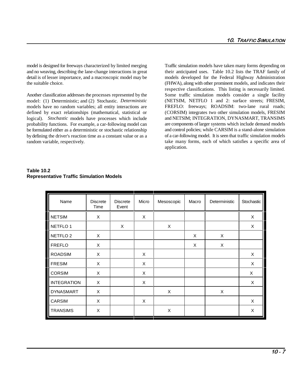model is designed for freeways characterized by limited merging Traffic simulation models have taken many forms depending on and no weaving, describing the lane-change interactions in great their anticipated uses. Table 10.2 lists the TRAF family of detail is of lesser importance, and a macroscopic model may be models developed for the Federal Highway Administration the suitable choice. (FHWA), along with other prominent models, and indicates their

Another classification addresses the processes represented by the Some traffic simulation models consider a single facility model: (1) Deterministic; and (2) Stochastic. *Deterministic* models have no random variables; all entity interactions are defined by exact relationships (mathematical, statistical or logical). *Stochastic* models have processes which include probability functions. For example, a car-following model can be formulated either as a deterministic or stochastic relationship by defining the driver's reaction time as a constant value or as a random variable, respectively.

respective classifications. This listing is necessarily limited. (NETSIM, NETFLO 1 and 2: surface streets; FRESIM, FREFLO: freeways; ROADSIM: two-lane rural roads; (CORSIM) integrates two other simulation models, FRESIM and NETSIM; INTEGRATION, DYNASMART, TRANSIMS are components of larger systems which include demand models and control policies; while CARSIM is a stand-alone simulation of a car-following model. It is seen that traffic simulation models take many forms, each of which satisfies a specific area of application.

| Name                | <b>Discrete</b><br>Time | <b>Discrete</b><br>Event | Micro    | Mesoscopic | Macro | Deterministic | Stochastic |
|---------------------|-------------------------|--------------------------|----------|------------|-------|---------------|------------|
| <b>NETSIM</b>       | X                       |                          | $\times$ |            |       |               | X          |
| NETFLO <sub>1</sub> |                         | X                        |          | X          |       |               | X          |
| NETFLO <sub>2</sub> | X                       |                          |          |            | X     | X             |            |
| <b>FREFLO</b>       | X                       |                          |          |            | X     | Χ             |            |
| <b>ROADSIM</b>      | X                       |                          | X        |            |       |               | X          |
| <b>FRESIM</b>       | X                       |                          | X        |            |       |               | X          |
| <b>CORSIM</b>       | X                       |                          | X        |            |       |               | X          |
| <b>INTEGRATION</b>  | X                       |                          | X        |            |       |               | X          |
| <b>DYNASMART</b>    | X                       |                          |          | X          |       | X             |            |
| <b>CARSIM</b>       | X                       |                          | X        |            |       |               | X          |
| <b>TRANSIMS</b>     | X                       |                          |          | X          |       |               | X          |

#### **Table 10.2 Representative Traffic Simulation Models**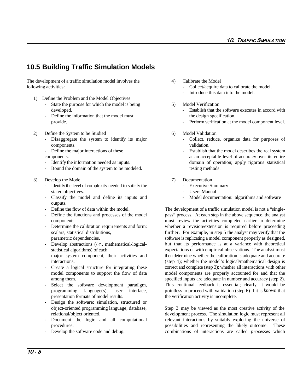### **10.5 Building Traffic Simulation Models**

The development of a traffic simulation model involves the 4) Calibrate the Model following activities: - Collect/acquire data to calibrate the model.

- 1) Define the Problem and the Model Objectives
	- State the purpose for which the model is being 5) Model Verification
	- Define the information that the model must the design specification.
- 2) Define the System to be Studied 6) Model Validation
	- components. validation.
	-
	-
	- Bound the domain of the system to be modeled. the testing methods.
- 3) Develop the Model 7) Documentation
	- Identify the level of complexity needed to satisfy the  $\sim$  Executive Summary stated objectives. The state of the state of the state of the state of the state of the state of the state of the state of the state of the state of the state of the state of the state of the state of the state of the stat
	- Classify the model and define its inputs and Model documentation: algorithms and software outputs.
	-
	-
	-
	- Develop abstractions (*i.e.*, mathematical-logicalstatistical algorithms) of each major system component, their activities and interactions.
	- Create a logical structure for integrating these model components to support the flow of data among them.
	- Select the software development paradigm, presentation formats of model results. the verification activity is incomplete.
	- Design the software: simulation, structured or
	-
	- Develop the software code and debug.
- -
	- Introduce this data into the model.
- 
- developed. Establish that the software executes in accord with
- provide. Perform verification at the model component level.
	-
- Disaggregate the system to identify its major Collect, reduce, organize data for purposes of
- Define the major interactions of these Establish that the model describes the real system components. at an acceptable level of accuracy over its entire Identify the information needed as inputs.  $\blacksquare$  domain of operation; apply rigorous statistical
	- -
		-
		-

Define the flow of data within the model. The development of a traffic simulation model is not a "single-Define the functions and processes of the model pass" process. At each step in the above sequence, the analyst components. must review the activities completed earlier to determine - Determine the calibration requirements and form: whether a revision/extension is required before proceeding scalars, statistical distributions, further. For example, in step 5 the analyst may verify that the parametric dependencies. software is replicating a model component properly as designed, programming language(s), user interface, pointless to proceed with validation (step 6) if it is *known* that but that its performance is at a variance with theoretical expectations or with empirical observations. The analyst must then determine whether the calibration is adequate and accurate (step 4); whether the model's logical/mathematical design is correct and complete (step 3); whether all interactions with other model components are properly accounted for and that the specified inputs are adequate in number and accuracy (step 2). This continual feedback is essential; clearly, it would be

object-oriented programming language; database, Step 3 may be viewed as the most creative activity of the relational/object oriented. development process. The simulation logic must represent all - Document the logic and all computational relevant interactions by suitably exploring the universe of procedures. possibilities and representing the likely outcome. These combinations of interactions are called *processes* which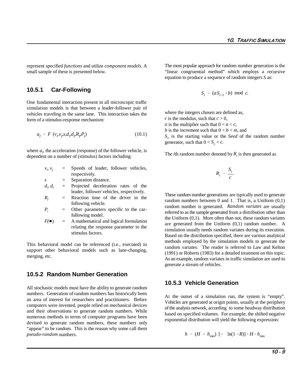represent specified *functions* and utilize *component models*. A small sample of these is presented below.

#### **10.5.1 Car-Following**

One fundamental interaction present in all microscopic traffic simulation models is that between a leader-follower pair of vehicles traveling in the same lane. This interaction takes the form of a stimulus-response mechanism:

$$
a_f = F \left( v_p v_p s, d_p d_p R_p P_i \right) \tag{10.1}
$$

where  $a<sub>0</sub>$ , the acceleration (response) of the follower vehicle, is dependent on a number of (stimulus) factors including:

| $v_p$ , $v_f$              |         | Speeds of leader, follower vehicles,<br>respectively. |
|----------------------------|---------|-------------------------------------------------------|
|                            |         |                                                       |
| S                          | $=$     | Separation distance.                                  |
| $d_i, d_f$                 | $=$     | Projected deceleration rates of the                   |
|                            |         | leader, follower vehicles, respectively.              |
| $R_{\scriptscriptstyle f}$ | $=$ $-$ | Reaction time of the driver in the                    |
|                            |         | following vehicle.                                    |
| $P_{i}$                    | $=$     | Other parameters specific to the car-                 |
|                            |         | following model.                                      |
| $F(\bullet)$               | $=$     | A mathematical and logical formulation                |
|                            |         | relating the response parameter to the                |
|                            |         | stimulus factors.                                     |
|                            |         |                                                       |

This behavioral model can be referenced (i.e., executed) to support other behavioral models such as lane-changing, merging, etc.

#### **10.5.2 Random Number Generation**

All stochastic models must have the ability to generate random numbers. Generation of random numbers has historically been an area of interest for researchers and practitioners. Before computers were invented, people relied on mechanical devices and their observations to generate random numbers. While numerous methods in terms of computer programs have been devised to generate random numbers, these numbers only "appear" to be random. This is the reason why some call them *pseudo-random* numbers.

The most popular approach for random number generation is the "linear congruential method" which employs a recursive equation to produce a sequence of random integers *S* as:

$$
S_i = (aS_{i-1} + b) \mod c.
$$

where the integers chosen are defined as,

*c* is the modulus, such that  $c > 0$ ,

*a* is the multiplier such that  $0 < a < c$ ,

*b* is the increment such that  $0 < b < m$ , and

*S* is the starting value or the *Seed* of the random number *<sup>o</sup>* generator, such that  $0 < S_{o} < c$ .

The *i*th random number denoted by  $R_i$  is then generated as

$$
R_i = \frac{S_i}{c}.
$$

These random number generations are typically used to generate random numbers between 0 and 1. That is, a Uniform (0,1) random number is generated. *Random variates* are usually referred to as the sample generated from a distribution other than the Uniform (0,1). More often than not, these random variates are generated from the Uniform (0,1) random number. A simulation usually needs random variates during its execution. Based on the distribution specified, there are various analytical methods employed by the simulation models to generate the random variates. The reader is referred to Law and Kelton (1991) or Roberts (1983) for a detailed treatment on this topic. As an example, random variates in traffic simulation are used to generate a stream of vehicles.

#### **10.5.3 Vehicle Generation**

At the outset of a simulation run, the system is "empty". Vehicles are generated at origin points, usually at the periphery of the analysis network, according to some headway distribution based on specified volumes. For example, the shifted negative exponential distribution will yield the following expression:

$$
h = (H - h_{\min}) [- \ln(1 - R)] + H - h_{\min}
$$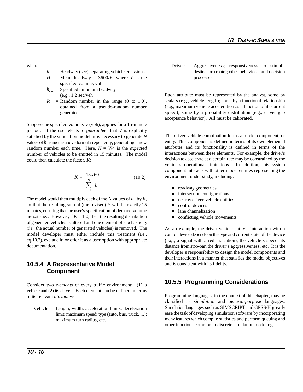- $h$  = Headway (sec) separating vehicle emissions
- $H = \text{Mean}$  headway = 3600/*V*, where *V* is the specified volume, vph
- $h_{min}$  = Specified minimum headway (e.g., 1.2 sec/veh)
- $R$  = Random number in the range (0 to 1.0), obtained from a pseudo-random number generator.

Suppose the specified volume, *V* (vph), applies for a 15-minute period. If the user elects to *guarantee* that *V* is explicitly satisfied by the simulation model, it is necessary to generate *N* values of *h* using the above formula repeatedly, generating a new random number each time. Here,  $N = V/4$  is the *expected* number of vehicles to be emitted in 15 minutes. The model could then calculate the factor, *K*:

$$
K = \frac{15x60}{\sum_{i=1}^{N} h_i}
$$
 (10.2)

The model would then multiply each of the  $N$  values of  $h_i$ , by  $K$ , so that the resulting sum of (the revised)  $h_i$  will be exactly 15 minutes, ensuring that the user's specification of demand volume are satisfied. However, if  $K \neq 1.0$ , then the resulting distribution of generated vehicles is altered and one element of stochasticity (*i.e.*, the actual number of generated vehicles) is removed. The model developer must either include this treatment (*i.e.*, eq.10.2), exclude it; or offer it as a user option with appropriate documentation.

#### **10.5.4 A Representative Model Component**

Consider two *elements* of every traffic environment: (1) a vehicle and (2) its driver. Each element can be defined in terms of its relevant *attributes*:

Vehicle: Length; width; acceleration limits; deceleration limit; maximum speed; type (auto, bus, truck, ...); maximum turn radius, etc.

where **Driver:** Aggressiveness; responsiveness to stimuli; destination (route); other behavioral and decision processes.

> Each attribute must be represented by the analyst, some by scalars (e.g., vehicle length); some by a functional relationship (e.g., maximum vehicle acceleration as a function of its current speed); some by a probability distribution (e.g., driver gap acceptance behavior). All must be calibrated.

> The driver-vehicle combination forms a model component, or entity. This component is defined in terms of its own elemental attributes and its functionality is defined in terms of the interactions between these elements. For example, the driver's decision to accelerate at a certain rate may be constrained by the vehicle's operational limitations. In addition, this system component interacts with other model entities representing the environment under study, including:

- $\blacksquare$ roadway geometrics
- П intersection configurations
- Г nearby driver-vehicle entities
- Ē control devices
- п lane channelization
- $\blacksquare$ conflicting vehicle movements

As an example, the driver-vehicle entity's interaction with a control device depends on the type and current state of the device (*e.g.*, a signal with a red indication), the vehicle's speed, its distance from stop-bar, the driver's aggressiveness, etc. It is the developer's responsibility to design the model components and their interactions in a manner that satisfies the model objectives and is consistent with its fidelity.

#### **10.5.5 Programming Considerations**

Programming languages, in the context of this chapter, may be classified as *simulation* and *general-purpose* languages. Simulation languages such as SIMSCRIPT and GPSS/H greatly ease the task of developing simulation software by incorporating many features which compile statistics and perform queuing and other functions common to discrete simulation modeling.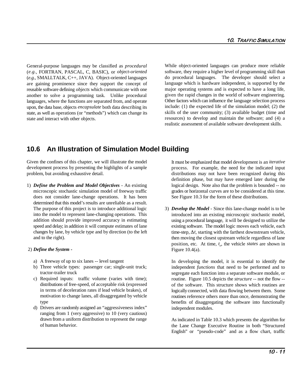General-purpose languages may be classified as *procedural* (*e.g.*, FORTRAN, PASCAL, C, BASIC), or *object-oriented* (*e.g.*, SMALLTALK, C++, JAVA). Object-oriented languages are gaining prominence since they support the concept of reusable software defining *objects* which communicate with one another to solve a programming task. Unlike procedural languages, where the functions are separated from, and operate upon, the data base, objects *encapsulate* both data describing its state, as well as operations (or "methods") which can change its state and interact with other objects.

While object-oriented languages can produce more reliable software, they require a higher level of programming skill than do procedural languages. The developer should select a language which is hardware independent, is supported by the major operating systems and is expected to have a long life, given the rapid changes in the world of software engineering. Other factors which can influence the language selection process include: (1) the expected life of the simulation model; (2) the skills of the user community; (3) available budget (time and resources) to develop and maintain the software; and (4) a realistic assessment of available software development skills.

### **10.6 An Illustration of Simulation Model Building**

Given the confines of this chapter, we will illustrate the model development process by presenting the highlights of a sample problem, but avoiding exhaustive detail.

1) *Define the Problem and Model Objectives* - An existing logical design. Note also that the problem is bounded -- no microscopic stochastic simulation model of freeway traffic grades or horizontal curves are to be considered at this time. does not consider lane-change operations. It has been See Figure 10.3 for the form of these distributions. determined that this model's results are unreliable as a result. The purpose of this project is to introduce additional logic into the model to represent lane-changing operations. This addition should provide improved accuracy in estimating speed and delay; in addition it will compute estimates of lane changes by lane, by vehicle type and by direction (to the left and to the right).

#### 2) *Define the System -*

- a) A freeway of up to six lanes -- level tangent
- b) Three vehicle types: passenger car; single-unit truck; tractor-trailer truck
- c) Required inputs: traffic volume (varies with time); distributions of free-speed, of acceptable risk (expressed in terms of deceleration rates if lead vehicle brakes), of motivation to change lanes, all disaggregated by vehicle type
- d) Drivers are randomly assigned an "aggressiveness index" ranging from 1 (very aggressive) to 10 (very cautious) drawn from a uniform distribution to represent the range of human behavior.

It must be emphasized that model development is an *iterative* process. For example, the need for the indicated input distributions may not have been recognized during this definition phase, but may have emerged later during the

3) *Develop the Model* - Since this lane-change model is to be introduced into an existing microscopic stochastic model, using a procedural language, it will be designed to utilize the existing software. The model logic moves each vehicle, each time-step,  $\Delta t$ , starting with the farthest downstream vehicle, then moving the closest upstream vehicle regardless of lane position, etc. At time,  $t_o$ , the vehicle *states* are shown in Figure  $10.4(a)$ .

In developing the model, it is essential to identify the independent *functions* that need to be performed and to segregate each function into a separate software module, or routine. Figure 10.5 depicts the *structure* -- not the flow - of the software. This structure shows which routines are logically connected, with data flowing between them. Some routines reference others more than once, demonstrating the benefits of disaggregating the software into functionally independent modules.

As indicated in Table 10.3 which presents the algorithm for the Lane Change Executive Routine in both "Structured English" or "pseudo-code" and as a flow chart, traffic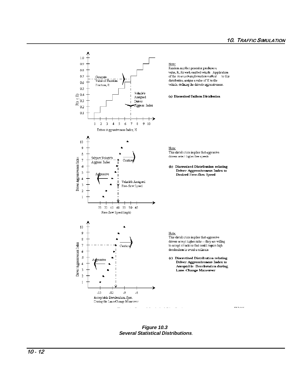

Figure 10.3 **Several Statistical Distributions.**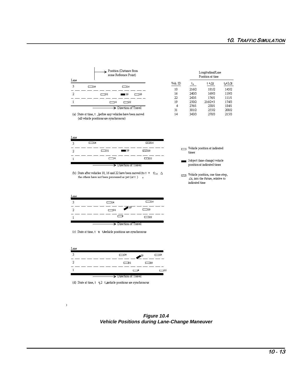| Position (Distance from<br>some Reference Point)           |                 | Longitudinal/Lane<br>Position at time |           |        |
|------------------------------------------------------------|-----------------|---------------------------------------|-----------|--------|
| Lane                                                       | Veh. ID         | t.                                    | t +∆t     | ta+2∠± |
| 3<br>$\Box$ 14<br>$\Box$ 16                                | 10              | 216/2                                 | 181/2     | 145/2  |
| 2<br>19<br>$\Box$ 31                                       | 16<br>$\Box$ 10 | 240/3                                 | 169/3     | 119/3  |
|                                                            | 22              | 243/1                                 | 176/1     | 111/1  |
| $\Box$ 22<br>$\overline{\phantom{1}}$                      | 19              | 250/2                                 | $216/2+3$ | 174/3  |
|                                                            | 4               | 276/1                                 | 230/1     | 184/1  |
| $\rightarrow$ Direction of Travel                          | 31              | 301/2                                 | 25512     | 208/2  |
| (a) State at time, t , before any vehicles have been moved | 14              | 343/3                                 | 278/3     | 215/3  |

 $Z216$ 

 $\overline{2210}$ 

 $\overline{1}$ 

(all vehicle positions are synchronous)

 $\overline{\square}31$ 

 $\Box$ 

 $\begin{tabular}{ll} \hline \hspace{1.2cm} \textbf{[} & \textbf{[} \\ \hline \hspace{1.2cm} \textbf{[} & \textbf{[} \\ \end{tabular} \end{tabular} \begin{tabular}{ll} \textbf{[} \\ \textbf{[} \\ \end{tabular} \end{tabular} \begin{tabular}{ll} \textbf{[} \\ \textbf{[} \\ \end{tabular} \end{tabular} \begin{tabular}{ll} \textbf{[} \\ \textbf{[} \\ \end{tabular} \end{tabular} \begin{tabular}{ll} \textbf{[} \\ \textbf{[} \\ \end{tabular} \end{tabular} \begin{tabular}{ll} \textbf{$  $times$ 

 $\quad \quad$  Subject (lane-change) vehicle position at indicated times

 $\begin{tabular}{ll} \hline \textbf{Z$-$2$} & Vehicle position, one time-step, \\ & \Delta t, into the future, relative to \end{tabular}$ 

indicated time

 $\blacksquare$  19

 $\rightarrow$  Direction of Travel

| Lane |                                          |           |
|------|------------------------------------------|-----------|
| 3    | $\Box$ 14                                | $\Box$ 16 |
| 2    | $\rightarrow$ <sup>19</sup><br>$\Box$ 31 | $\Box$ 10 |
|      | −                                        | $\Box$ 22 |
|      | $\rightarrow$ Direction of Travel        |           |

(c) State at time, t  $\ \pm\$  t/Nehicle positions are synchronous

 $\mathbf{r}$ 

 $\overline{1}$ 

Lan

 $\overline{3}$ 

 $\overline{\phantom{0}}$  $\overline{a}$ 

 $\overline{a}$ 

 $\overline{1}$ 

 $\Box$ 14

| Lane |                                   |           |
|------|-----------------------------------|-----------|
|      | $\Box$ 14<br>$-19$                | $\Box$ 16 |
|      | $\Box$<br>$\Box$ 10               |           |
|      |                                   | $\neg$ 22 |
|      | $\rightarrow$ Direction of Travel |           |

(d) State at time,  $t + 2$  t; Agehicle positions are synchronous



<sup>(</sup>b) State after vehicles 10, 16 and 22 have been moved (to t + t);<br>  $_0$   $\ \Delta$ the others have not been processed as yet (at  $t$  )  $\quad$  o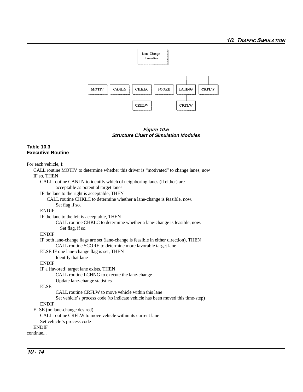

**Figure 10.5 Structure Chart of Simulation Modules**

#### **Table 10.3 Executive Routine**

For each vehicle, I:

CALL routine MOTIV to determine whether this driver is "motivated" to change lanes, now IF so, THEN CALL routine CANLN to identify which of neighboring lanes (if either) are acceptable as potential target lanes IF the lane to the right is acceptable, THEN CALL routine CHKLC to determine whether a lane-change is feasible, now. Set flag if so. ENDIF IF the lane to the left is acceptable, THEN CALL routine CHKLC to determine whether a lane-change is feasible, now. Set flag, if so. ENDIF IF both lane-change flags are set (lane-change is feasible in either direction), THEN CALL routine SCORE to determine more favorable target lane ELSE IF one lane-change flag is set, THEN Identify that lane **ENDIF** IF a [favored] target lane exists, THEN CALL routine LCHNG to execute the lane-change Update lane-change statistics ELSE CALL routine CRFLW to move vehicle within this lane Set vehicle's process code (to indicate vehicle has been moved this time-step) ENDIF ELSE (no lane-change desired) CALL routine CRFLW to move vehicle within its current lane Set vehicle's process code ENDIF continue...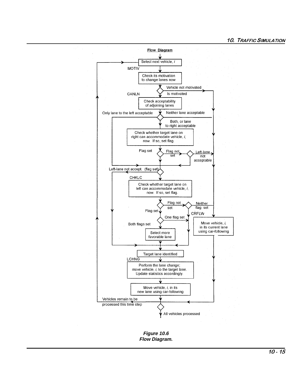

Figure 10.6 Flow Diagram.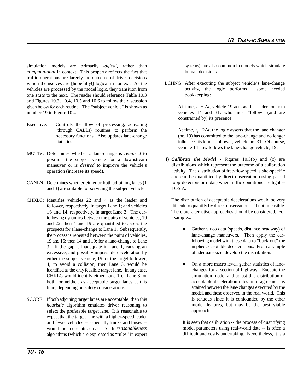simulation models are primarily *logical*, rather than *computational* in context. This property reflects the fact that traffic operations are largely the outcome of driver decisions which themselves are [hopefully!] logical in context. As the vehicles are processed by the model logic, they transition from one *state* to the next. The reader should reference Table 10.3 and Figures 10.3, 10.4, 10.5 and 10.6 to follow the discussion given below for each routine. The "subject vehicle" is shown as number 19 in Figure 10.4.

- Executive: Controls the flow of processing, activating (through CALLs) routines to perform the necessary functions. Also updates lane-change statistics.
- MOTIV: Determines whether a lane-change is *required* to position the subject vehicle for a downstream maneuver or is *desired* to improve the vehicle's operation (increase its speed).
- CANLN: Determines whether either or both adjoining lanes (1 and 3) are suitable for servicing the subject vehicle.
- CHKLC: Identifies vehicles 22 and 4 as the leader and follower, respectively, in target Lane 1; and vehicles 16 and 14, respectively, in target Lane 3. The carfollowing dynamics between the pairs of vehicles, 19 and 22, then 4 and 19 are quantified to assess the prospects for a lane-change to Lane 1. Subsequently, the process is repeated between the pairs of vehicles, 19 and 16; then 14 and 19; for a lane-change to Lane 3. If the gap is inadequate in Lane 1, causing an excessive, and possibly impossible deceleration by either the subject vehicle, 19, or the target follower, 4, to avoid a collision, then Lane 3, would be identified as the only feasible target lane. In any case, CHKLC would identify either Lane 1 or Lane 3, or both, or neither, as acceptable target lanes at this time, depending on safety considerations.
- SCORE: If both adjoining target lanes are acceptable, then this *heuristic* algorithm emulates driver reasoning to select the preferable target lane. It is reasonable to expect that the target lane with a higher-speed leader and fewer vehicles -- especially trucks and buses - would be more attractive. Such *reasonableness* algorithms (which are expressed as "rules" in expert

systems), are also common in models which simulate human decisions.

LCHNG: After executing the subject vehicle's lane-change activity, the logic performs some needed bookkeeping:

> At time,  $t_a + \Delta t$ , vehicle 19 acts as the leader for both vehicles 14 and 31, who must "follow" (and are constrained by) its presence.

> At time,  $t_o + 2\Delta t$ , the logic asserts that the lane changer (no. 19) has committed to the lane-change and no longer influences its former follower, vehicle no. 31. Of course, vehicle 14 now follows the lane-change vehicle, 19.

4) *Calibrate the Model* - Figures 10.3(b) and (c) are distributions which represent the outcome of a calibration activity. The distribution of free-flow speed is site-specific and can be quantified by direct observation (using paired loop detectors or radar) when traffic conditions are light -- LOS A.

The distribution of acceptable decelerations would be very difficult to quantify by direct observation -- if not infeasible. Therefore, alternative approaches should be considered. For example...

- $\blacksquare$  Gather video data (speeds, distance headway) of lane-change maneuvers. Then apply the carfollowing model with these data to "back-out" the implied acceptable decelerations. From a sample of adequate size, develop the distribution.
- $\blacksquare$  On a more macro level, gather statistics of lanechanges for a section of highway. Execute the simulation model and adjust this distribution of acceptable deceleration rates until agreement is attained between the lane-changes executed by the model, and those observed in the real world. This is tenuous since it is confounded by the other model features, but may be the best viable approach.

It is seen that calibration -- the process of quantifying model parameters using real-world data -- is often a difficult and costly undertaking. Nevertheless, it is a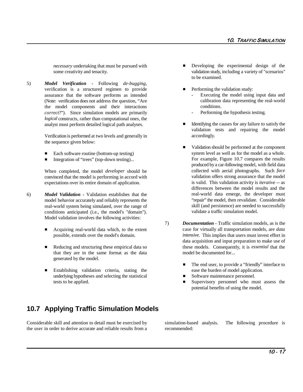*necessary* undertaking that must be pursued with some creativity and tenacity.

5) *Model Verification* - Following *de-bugging*, verification is a structured regimen to provide assurance that the software performs as intended (Note: verification does not address the question, "Are the model components and their interactions *correct*?"). Since simulation models are primarily *logical* constructs, rather than computational ones, the analyst must perform detailed logical path analyses.

> Verification is performed at two levels and generally in the sequence given below:

- $\blacksquare$ Each software routine (bottom-up testing)
- $\blacksquare$ Integration of "trees" (top-down testing)...

When completed, the model *developer* should be convinced that the model is performing in accord with expectations over its entire domain of application.

- 6) *Model Validation* Validation establishes that the model behavior accurately and reliably represents the real-world system being simulated, over the range of conditions anticipated (i.e., the model's "domain"). Model validation involves the following activities:
	- $\blacksquare$  Acquiring real-world data which, to the extent possible, extends over the model's domain.
	- $\blacksquare$ that they are in the same format as the data model be documented for... generated by the model.
	- Establishing validation criteria, stating the ease the burden of model application. Establishing validation criteria, stating the ease the burden of model application.<br>
	underlying hypotheses and selecting the statistical Software maintenance personnel.
- $\blacksquare$  Developing the experimental design of the validation study, including a variety of "scenarios" to be examined.
- $\blacksquare$  Performing the validation study:
	- Executing the model using input data and calibration data representing the real-world conditions.
	- Performing the hypothesis testing.
- Identifying the causes for any failure to satisfy the validation tests and repairing the model accordingly.
- $\blacksquare$  Validation should be performed at the component system level as well as for the model as a whole. For example, Figure 10.7 compares the results produced by a car-following model, with field data collected with aerial photographs. Such *face* validation offers strong assurance that the model is valid. This validation activity is *iterative* -- as differences between the model results and the real-world data emerge, the developer must "repair" the model, then revalidate. Considerable skill (and persistence) are needed to successfully validate a traffic simulation model.
- Reducing and structuring these empirical data so these models. Consequently, it is *essential* that the 7) *Documentation* - Traffic simulation models, as is the case for virtually all transportation models, are *data intensive*. This implies that users must invest effort in data acquisition and input preparation to make use of
	- $\blacksquare$ The end user, to provide a "friendly" interface to
	-
- tests to be applied.  $\blacksquare$  Supervisory personnel who must assess the potential benefits of using the model.

### **10.7 Applying Traffic Simulation Models**

Considerable skill and attention to detail must be exercised by simulation-based analysis. The following procedure is the user in order to derive accurate and reliable results from a recommended: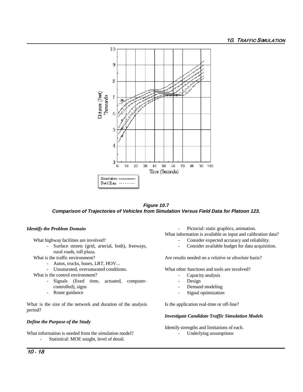

**Figure 10.7 Comparison of Trajectories of Vehicles from Simulation Versus Field Data for Platoon 123.**

#### *Identify the Problem Domain*

rural roads, toll plaza.

What is the traffic environment?

- Autos, trucks, buses, LRT, HOV...
- Unsaturated, oversaturated conditions.

What is the control environment?

- Signals (fixed time, actuated, computercontrolled), signs
- Route guidance

What is the size of the network and duration of the analysis period?

#### *Define the Purpose of the Study*

What information is needed from the simulation model?

Statistical: MOE sought, level of detail.

- Pictorial: static graphics, animation.

- What information is available as input and calibration data?
- What highway facilities are involved?  $\blacksquare$  Consider expected accuracy and reliability.
	- Surface streets (grid, arterial, both), freeways, Consider available budget for data acquisition.

Are results needed on a *relative* or *absolute* basis?

What other functions and tools are involved?

- Capacity analysis
- Design
- Demand modeling
- Signal optimization

Is the application real-time or off-line?

#### *Investigate Candidate Traffic Simulation Models*

Identify strengths and limitations of each.

- Underlying assumptions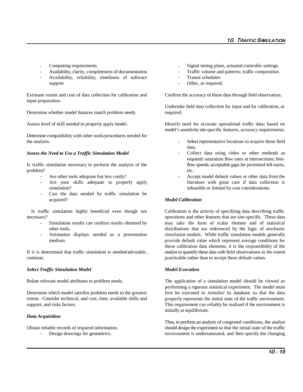- 
- 
- Availability, reliability, timeliness of software Transit schedules support **contains a container and a container of the container of the contact of the contact of the contact of the contact of the contact of the contact of the contact of the contact of the contact of the contact of the co**

Estimate extent and cost of data collection for calibration and Confirm the accuracy of these data through field observation. input preparation.

Determine whether model features match problem needs. required.

Determine compatibility with other tools/procedures needed for the analysis. The analysis extended the analysis. The analysis of the select representative locations to acquire these field

#### *Assess the Need to Use a Traffic Simulation Model*

Is traffic simulation necessary to perform the analysis of the flow speeds; acceptable gaps for permitted left-turns, problem? etc.

- 
- simulation? infeasible or limited by cost considerations.
- Can the data needed by traffic simulation be acquired?

necessary? operations and other features that are site-specific. These data

- 
- 

If it is determined that traffic simulation is needed/advisable, analyst to quantify these data with field observations to the extent continue. practicable rather than to accept these default values.

#### **Select Traffic Simulation Model Model Execution**

Determine which model satisfies problem needs to the greatest extent. Consider technical, and cost, time, available skills and support, and risks factors.

#### *Data Acquisition*

Obtain reliable records of required information.

Design drawings for geometrics.

- Computing requirements Signal timing plans, actuated controller settings.
- Availability, clarity, completeness of documentation Traffic volume and patterns; traffic composition.
	-
	-

Undertake field data collection for input and for calibration, as

Assess level of skill needed to properly apply model. Identify need for accurate operational traffic data: based on model's sensitivity site-specific features; accuracy requirements.

- data.
- Collect data using video or other methods as required: saturation flow rates at intersections; free-
- Are other tools adequate but less costly?  $\qquad \qquad$  Accept model default values or other data from the Are your skills adequate to properly apply literature with great care if data collection is

#### *Model Calibration*

Is traffic simulation highly beneficial even though not Calibration is the activity of specifying data describing traffic Simulation results can confirm results obtained by may take the form of scalar elemets and of statistical other tools. distributions that are referenced by the logic of stochastic Animation displays needed as a presentation simulation models. While traffic simulation models generally medium. provide default value which represent average conditions for these calibration data elements, it is the responsibility of the

Relate relevant model attributes to problem needs. The application of a simulation model should be viewed as performing a rigorous statistical experiment. The model must first be executed to *initialize* its database so that the data properly represents the initial state of the traffic environment. This requirement can reliably be realized if the environment is initially at equilibrium.

> Thus, to perform an analysis of congested conditions, the analyst should design the experiment so that the initial state of the traffic environment is undersaturated, and then specify the changing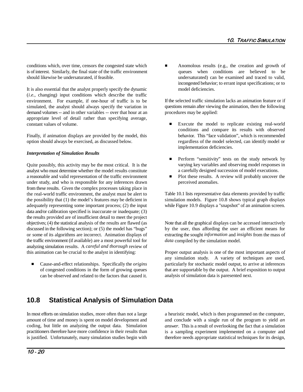conditions which, over time, censors the congested state which  $\blacksquare$  Anomolous results (e.g., the creation and growth of is of interest. Similarly, the final state of the traffic environment queues when conditions are believed to be should likewise be undersaturated, if feasible.  $\blacksquare$  undersaturated) can be examined and traced to valid,

It is also essential that the analyst properly specify the dynamic model deficiencies. (*i.e.*, changing) input conditions which describe the traffic environment. For example, if one-hour of traffic is to be simulated, the analyst should always specify the variation in demand volumes -- and in other variables -- over that hour at an appropriate level of detail rather than specifying average, constant values of volume.

Finally, if animation displays are provided by the model, this option should always be exercised, as discussed below.

#### *Interpretation of Simulation Results*

Quite possibly, this activity may be the most critical. It is the analyst who must determine whether the model results constitute a reasonable and valid representation of the traffic environment under study, and who is responsible for any inferences drawn from these results. Given the complex processes taking place in the real-world traffic environment, the analyst must be alert to the possibility that (1) the model's features may be deficient in adequately representing some important process; (2) the input data and/or calibration specified is inaccurate or inadequate; (3) the results provided are of insufficient detail to meet the project objectives; (4) the statistical analysis of the results are flawed (as discussed in the following section); or (5) the model has "bugs" or some of its algorithms are incorrect. Animation displays of extracting the sought *information* and *insights* from the mass of the traffic environment (if available) are a most powerful tool for analyzing simulation results. A *careful and thorough* review of this animation can be crucial to the analyst in identifying: Proper output analysis is one of the most important aspects of

 $\blacksquare$  Cause-and-effect relationships. Specifically the *origins* of congested conditions in the form of growing queues can be observed and related to the factors that caused it. incongested behavior; to errant input specifications; or to

If the selected traffic simulation lacks an animation feature or if questions remain after viewing the animation, then the following procedures may be applied:

- $\blacksquare$  Execute the model to replicate existing real-world conditions and compare its results with observed behavior. This "face validation", which is recommended regardless of the model selected, can identify model or implementation deficiencies.
- $\blacksquare$  Perform "sensitivity" tests on the study network by varying key variables and observing model responses in a carefully designed succession of model executions.
- $\blacksquare$  Plot these results. A review will probably uncover the perceived anomalies.

Table 10.1 lists representative data elements provided by traffic simulation models. Figure 10.8 shows typical graph displays while Figure 10.9 displays a "snapshot" of an animation screen.

Note that all the graphical displays can be accessed interactively by the user, thus affording the user an efficient means for *data* compiled by the simulation model.

any simulation study. A variety of techniques are used, particularly for stochastic model output, to arrive at inferences that are supportable by the output. A brief exposition to output analysis of simulation data is paresented next.

## **10.8 Statistical Analysis of Simulation Data**

In most efforts on simulation studies, more often than not a large a heuristic model, which is then programmed on the computer, amount of time and money is spent on model development and coding, but little on analyzing the output data. Simulation practitioners therefore have more confidence in their results than is justified. Unfortunately, many simulation studies begin with

and conclude with a single run of the program to yield *an answer*. This is a result of overlooking the fact that a simulation is a sampling experiment implemented on a computer and therefore needs appropriate statistical techniques for its design,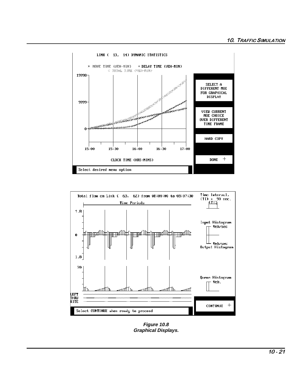



Figure 10.8 **Graphical Displays.**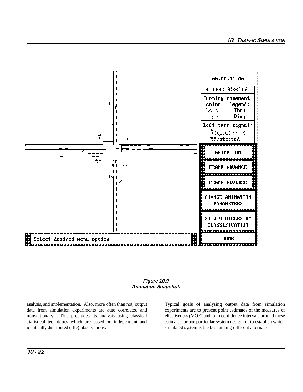

#### **Figure 10.9 Animation Snapshot.**

analysis, and implementation. Also, more often than not, output Typical goals of analyzing output data from simulation data from simulation experiments are auto correlated and experiments are to present point estimates of the measures of nonstationary. This precludes its analysis using classical effectiveness (MOE) and form confidence intervals around these statistical techniques which are based on independent and estimates for one particular system design, or to establish which identically distributed (IID) observations. simulated system is the best among different alternate